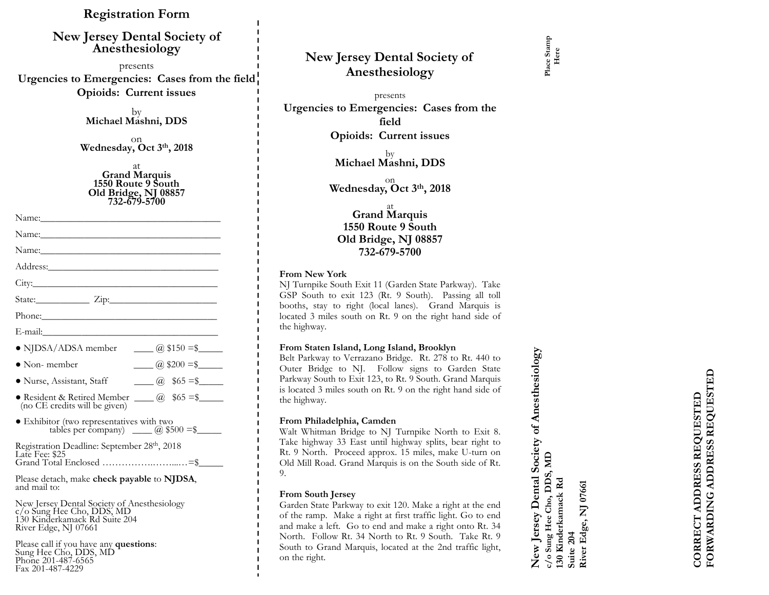# **Registration Form**

**New Jersey Dental Society of Anesthesiology**

presents **Urgencies to Emergencies: Cases from the fieldOpioids: Current issues** 

> by**Michael Mashni, DDS**

on **Wednesday, Oct 3th, <sup>2018</sup>**

at **Grand Marquis 1550 Route 9 South Old Bridge, NJ 08857732-679-5700**

| Name: Name and the second contract of the second contract of the second contract of the second contract of the second contract of the second contract of the second contract of the second contract of the second contract of  |                            |
|--------------------------------------------------------------------------------------------------------------------------------------------------------------------------------------------------------------------------------|----------------------------|
|                                                                                                                                                                                                                                |                            |
|                                                                                                                                                                                                                                |                            |
|                                                                                                                                                                                                                                |                            |
|                                                                                                                                                                                                                                |                            |
| State: <u>Zip: Zip:</u>                                                                                                                                                                                                        |                            |
| Phone: 2008 Phone: 2008 Phone: 2008 Phone: 2008 Phone: 2008 Phone: 2008 Phone: 2008 Phone: 2008 Phone: 2008 Phone: 2008 Phone: 2008 Phone: 2008 Phone: 2008 Phone: 2008 Phone: 2008 Phone: 2008 Phone: 2008 Phone: 2008 Phone: |                            |
|                                                                                                                                                                                                                                |                            |
| • NJDSA/ADSA member $\qquad \qquad \boxed{a}$ \$150 = \$                                                                                                                                                                       |                            |
| $\bullet$ Non-member                                                                                                                                                                                                           | $\frac{1}{2}$ \$200 = \$   |
| • Nurse, Assistant, Staff                                                                                                                                                                                                      | $\frac{1}{2}$ (a) \$65 =\$ |
| • Resident & Retired Member $\_\_\_$ ( $\&$ \$65 =\$<br>(no CE credits will be given)                                                                                                                                          |                            |
| $\bullet$ Exhibitor (two representatives with two                                                                                                                                                                              |                            |

tables per company)  $\qquad \qquad \qquad (\alpha \leq 500 = \$$ 

Registration Deadline: September 28th, 2018 Late Fee: \$25Grand Total Enclosed …………….……...…=\$\_\_\_\_\_

Please detach, make **check payable** to **NJDSA**, and mail to:

New Jersey Dental Society of Anesthesiology c/o Sung Hee Cho, DDS, MD 130 Kinderkamack Rd Suite 204 River Edge, NJ 07661

Please call if you have any **questions**: Sung Hee Cho, DDS, MD Phone 201-487-6565Fax 201-487-4229

# **New Jersey Dental Society of Anesthesiology**

presents**Urgencies to Emergencies: Cases from the fieldOpioids: Current issues** 

> by**Michael Mashni, DDS**

on **Wednesday, Oct 3th, <sup>2018</sup>**

at **Grand Marquis 1550 Route 9 South Old Bridge, NJ 08857732-679-5700**

#### **From New York**

NJ Turnpike South Exit <sup>11</sup> (Garden State Parkway). Take GSP South to exit <sup>123</sup> (Rt. <sup>9</sup> South). Passing all toll booths, stay to right (local lanes). Grand Marquis is located <sup>3</sup> miles south on Rt. <sup>9</sup> on the right hand side of the highway.

#### **From Staten Island, Long Island, Brooklyn**

Belt Parkway to Verrazano Bridge. Rt. <sup>278</sup> to Rt. <sup>440</sup> to Outer Bridge to NJ. Follow signs to Garden State Parkway South to Exit 123, to Rt. <sup>9</sup> South. Grand Marquis is located <sup>3</sup> miles south on Rt. <sup>9</sup> on the right hand side of the highway.

#### **From Philadelphia, Camden**

Walt Whitman Bridge to NJ Turnpike North to Exit 8. Take highway <sup>33</sup> East until highway splits, bear right to Rt. <sup>9</sup> North. Proceed approx. <sup>15</sup> miles, make U-turn on Old Mill Road. Grand Marquis is on the South side of Rt. 9.

### **From South Jersey**

Garden State Parkway to exit 120. Make <sup>a</sup> right at the end of the ramp. Make <sup>a</sup> right at first traffic light. Go to end and make <sup>a</sup> left. Go to end and make <sup>a</sup> right onto Rt. <sup>34</sup> North. Follow Rt. <sup>34</sup> North to Rt. <sup>9</sup> South. Take Rt. <sup>9</sup> South to Grand Marquis, located at the 2nd traffic light, on the right.

**New Jersey Dental Society of Anesthesiology**  New Jersey Dental Society of Anesthesiology c/o Sung Hee Cho, DDS, MD<br>130 Kinderkamack Rd **c/o Sung Hee Cho, DDS, MD 130 Kinderkamack Rd**  Suite 204

**Suite 204**

**River Edge, NJ 07661**

River Edge, NJ 07661

FORWARDING ADDRESS REQUESTED **FORWARDING ADDRESS REQUESTED** CORRECT ADDRESS REQUESTED **CORRECT ADDRESS REQUESTED**